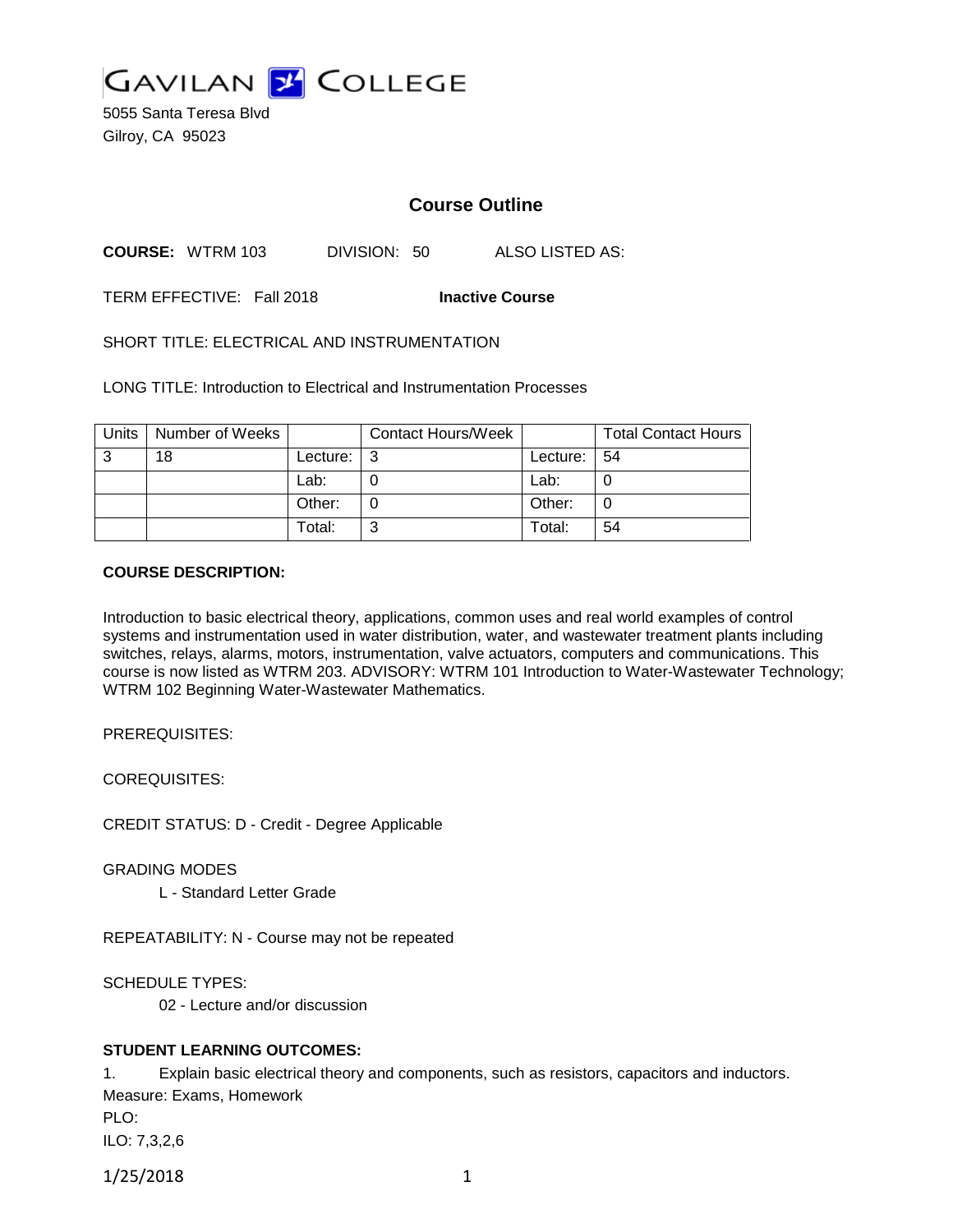

5055 Santa Teresa Blvd Gilroy, CA 95023

## **Course Outline**

**COURSE:** WTRM 103 DIVISION: 50 ALSO LISTED AS:

TERM EFFECTIVE: Fall 2018 **Inactive Course**

SHORT TITLE: ELECTRICAL AND INSTRUMENTATION

LONG TITLE: Introduction to Electrical and Instrumentation Processes

| <b>Units</b> | Number of Weeks |               | <b>Contact Hours/Week</b> |                 | <b>Total Contact Hours</b> |
|--------------|-----------------|---------------|---------------------------|-----------------|----------------------------|
| 3            | 18              | Lecture: $ 3$ |                           | Lecture: $ 54 $ |                            |
|              |                 | Lab:          |                           | Lab:            |                            |
|              |                 | Other:        |                           | Other:          |                            |
|              |                 | Total:        | ⌒                         | Total:          | 54                         |

#### **COURSE DESCRIPTION:**

Introduction to basic electrical theory, applications, common uses and real world examples of control systems and instrumentation used in water distribution, water, and wastewater treatment plants including switches, relays, alarms, motors, instrumentation, valve actuators, computers and communications. This course is now listed as WTRM 203. ADVISORY: WTRM 101 Introduction to Water-Wastewater Technology; WTRM 102 Beginning Water-Wastewater Mathematics.

PREREQUISITES:

COREQUISITES:

CREDIT STATUS: D - Credit - Degree Applicable

GRADING MODES

L - Standard Letter Grade

REPEATABILITY: N - Course may not be repeated

SCHEDULE TYPES:

02 - Lecture and/or discussion

### **STUDENT LEARNING OUTCOMES:**

1. Explain basic electrical theory and components, such as resistors, capacitors and inductors. Measure: Exams, Homework PLO:

ILO: 7,3,2,6

1/25/2018 1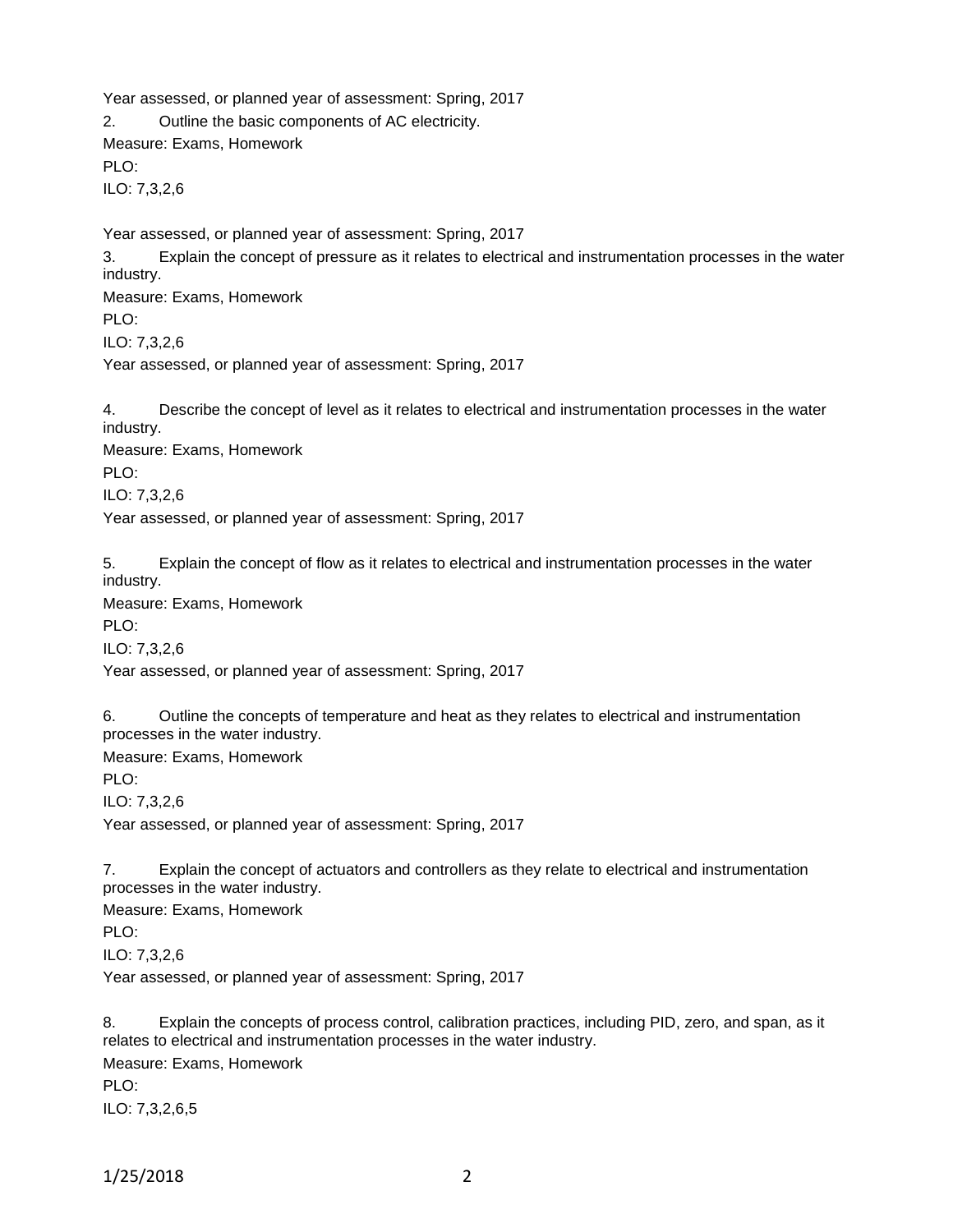Year assessed, or planned year of assessment: Spring, 2017

2. Outline the basic components of AC electricity.

Measure: Exams, Homework

PLO:

ILO: 7,3,2,6

Year assessed, or planned year of assessment: Spring, 2017

3. Explain the concept of pressure as it relates to electrical and instrumentation processes in the water industry. Measure: Exams, Homework

PLO:

ILO: 7,3,2,6

Year assessed, or planned year of assessment: Spring, 2017

4. Describe the concept of level as it relates to electrical and instrumentation processes in the water industry. Measure: Exams, Homework PLO: ILO: 7,3,2,6

Year assessed, or planned year of assessment: Spring, 2017

5. Explain the concept of flow as it relates to electrical and instrumentation processes in the water industry.

Measure: Exams, Homework

PLO<sup>.</sup>

ILO: 7,3,2,6

Year assessed, or planned year of assessment: Spring, 2017

6. Outline the concepts of temperature and heat as they relates to electrical and instrumentation processes in the water industry.

Measure: Exams, Homework

PLO:

ILO: 7,3,2,6

Year assessed, or planned year of assessment: Spring, 2017

7. Explain the concept of actuators and controllers as they relate to electrical and instrumentation processes in the water industry.

Measure: Exams, Homework PLO: ILO: 7,3,2,6

Year assessed, or planned year of assessment: Spring, 2017

8. Explain the concepts of process control, calibration practices, including PID, zero, and span, as it relates to electrical and instrumentation processes in the water industry. Measure: Exams, Homework PLO<sup>.</sup> ILO: 7,3,2,6,5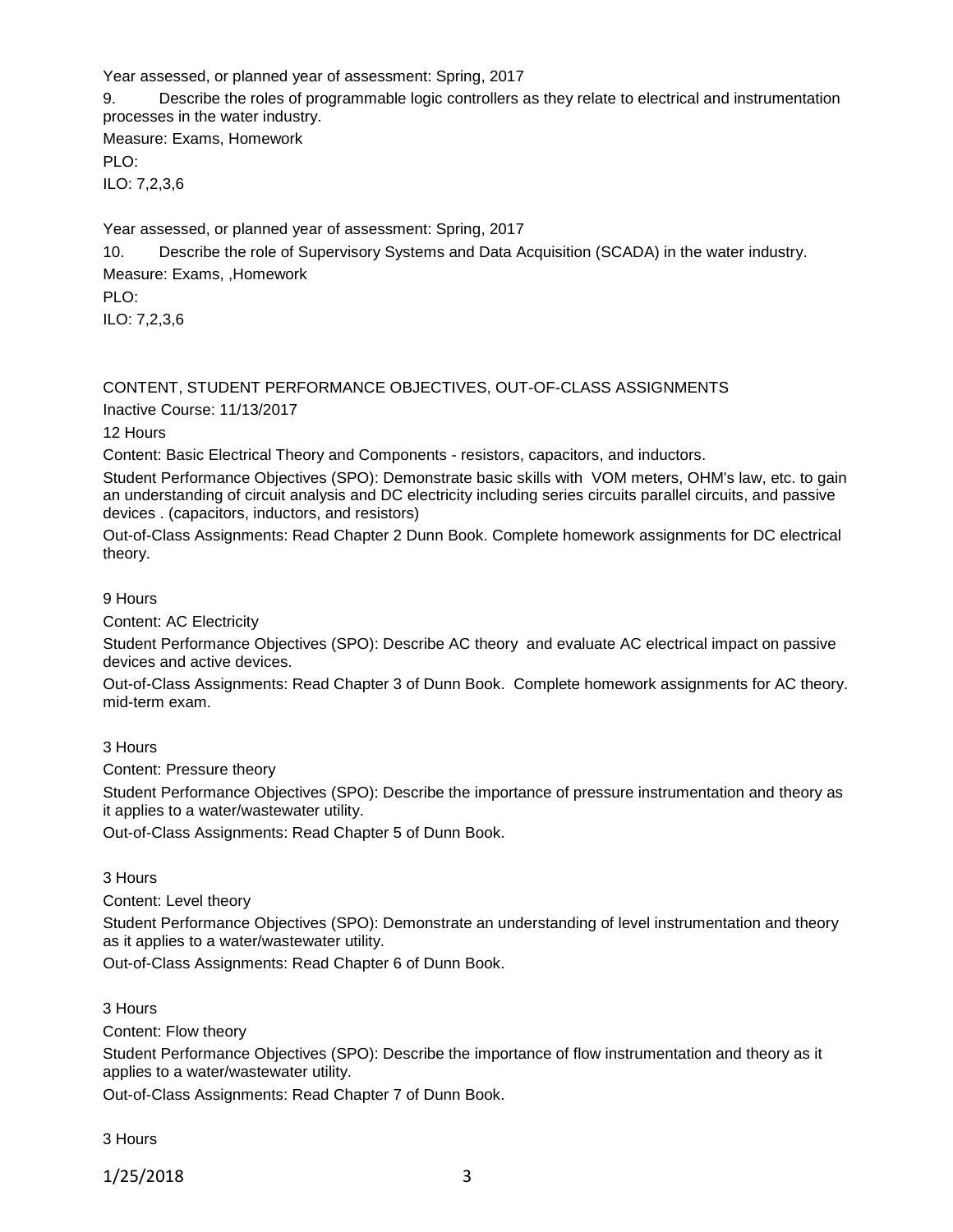Year assessed, or planned year of assessment: Spring, 2017

9. Describe the roles of programmable logic controllers as they relate to electrical and instrumentation processes in the water industry.

Measure: Exams, Homework PLO:

ILO: 7,2,3,6

Year assessed, or planned year of assessment: Spring, 2017

10. Describe the role of Supervisory Systems and Data Acquisition (SCADA) in the water industry.

Measure: Exams, ,Homework

PLO:

ILO: 7,2,3,6

# CONTENT, STUDENT PERFORMANCE OBJECTIVES, OUT-OF-CLASS ASSIGNMENTS

Inactive Course: 11/13/2017

12 Hours

Content: Basic Electrical Theory and Components - resistors, capacitors, and inductors.

Student Performance Objectives (SPO): Demonstrate basic skills with VOM meters, OHM's law, etc. to gain an understanding of circuit analysis and DC electricity including series circuits parallel circuits, and passive devices . (capacitors, inductors, and resistors)

Out-of-Class Assignments: Read Chapter 2 Dunn Book. Complete homework assignments for DC electrical theory.

9 Hours

Content: AC Electricity

Student Performance Objectives (SPO): Describe AC theory and evaluate AC electrical impact on passive devices and active devices.

Out-of-Class Assignments: Read Chapter 3 of Dunn Book. Complete homework assignments for AC theory. mid-term exam.

## 3 Hours

Content: Pressure theory

Student Performance Objectives (SPO): Describe the importance of pressure instrumentation and theory as it applies to a water/wastewater utility.

Out-of-Class Assignments: Read Chapter 5 of Dunn Book.

3 Hours

Content: Level theory

Student Performance Objectives (SPO): Demonstrate an understanding of level instrumentation and theory as it applies to a water/wastewater utility.

Out-of-Class Assignments: Read Chapter 6 of Dunn Book.

3 Hours

Content: Flow theory

Student Performance Objectives (SPO): Describe the importance of flow instrumentation and theory as it applies to a water/wastewater utility.

Out-of-Class Assignments: Read Chapter 7 of Dunn Book.

3 Hours

1/25/2018 3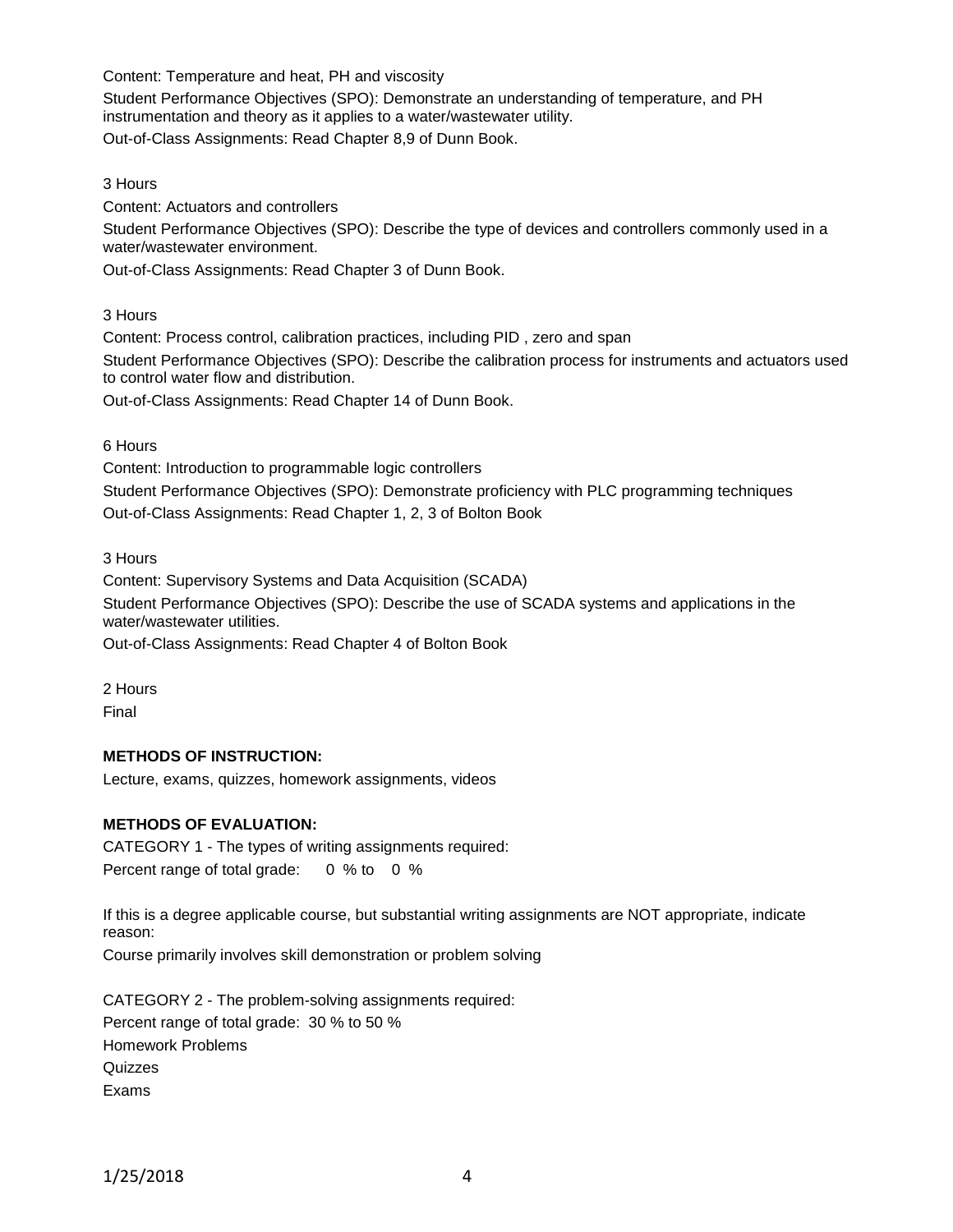Content: Temperature and heat, PH and viscosity

Student Performance Objectives (SPO): Demonstrate an understanding of temperature, and PH instrumentation and theory as it applies to a water/wastewater utility. Out-of-Class Assignments: Read Chapter 8,9 of Dunn Book.

3 Hours

Content: Actuators and controllers

Student Performance Objectives (SPO): Describe the type of devices and controllers commonly used in a water/wastewater environment.

Out-of-Class Assignments: Read Chapter 3 of Dunn Book.

3 Hours

Content: Process control, calibration practices, including PID , zero and span

Student Performance Objectives (SPO): Describe the calibration process for instruments and actuators used to control water flow and distribution.

Out-of-Class Assignments: Read Chapter 14 of Dunn Book.

6 Hours

Content: Introduction to programmable logic controllers Student Performance Objectives (SPO): Demonstrate proficiency with PLC programming techniques Out-of-Class Assignments: Read Chapter 1, 2, 3 of Bolton Book

3 Hours

Content: Supervisory Systems and Data Acquisition (SCADA) Student Performance Objectives (SPO): Describe the use of SCADA systems and applications in the water/wastewater utilities

Out-of-Class Assignments: Read Chapter 4 of Bolton Book

2 Hours

Final

## **METHODS OF INSTRUCTION:**

Lecture, exams, quizzes, homework assignments, videos

## **METHODS OF EVALUATION:**

CATEGORY 1 - The types of writing assignments required: Percent range of total grade: 0 % to 0 %

If this is a degree applicable course, but substantial writing assignments are NOT appropriate, indicate reason: Course primarily involves skill demonstration or problem solving

CATEGORY 2 - The problem-solving assignments required: Percent range of total grade: 30 % to 50 % Homework Problems **Quizzes** Exams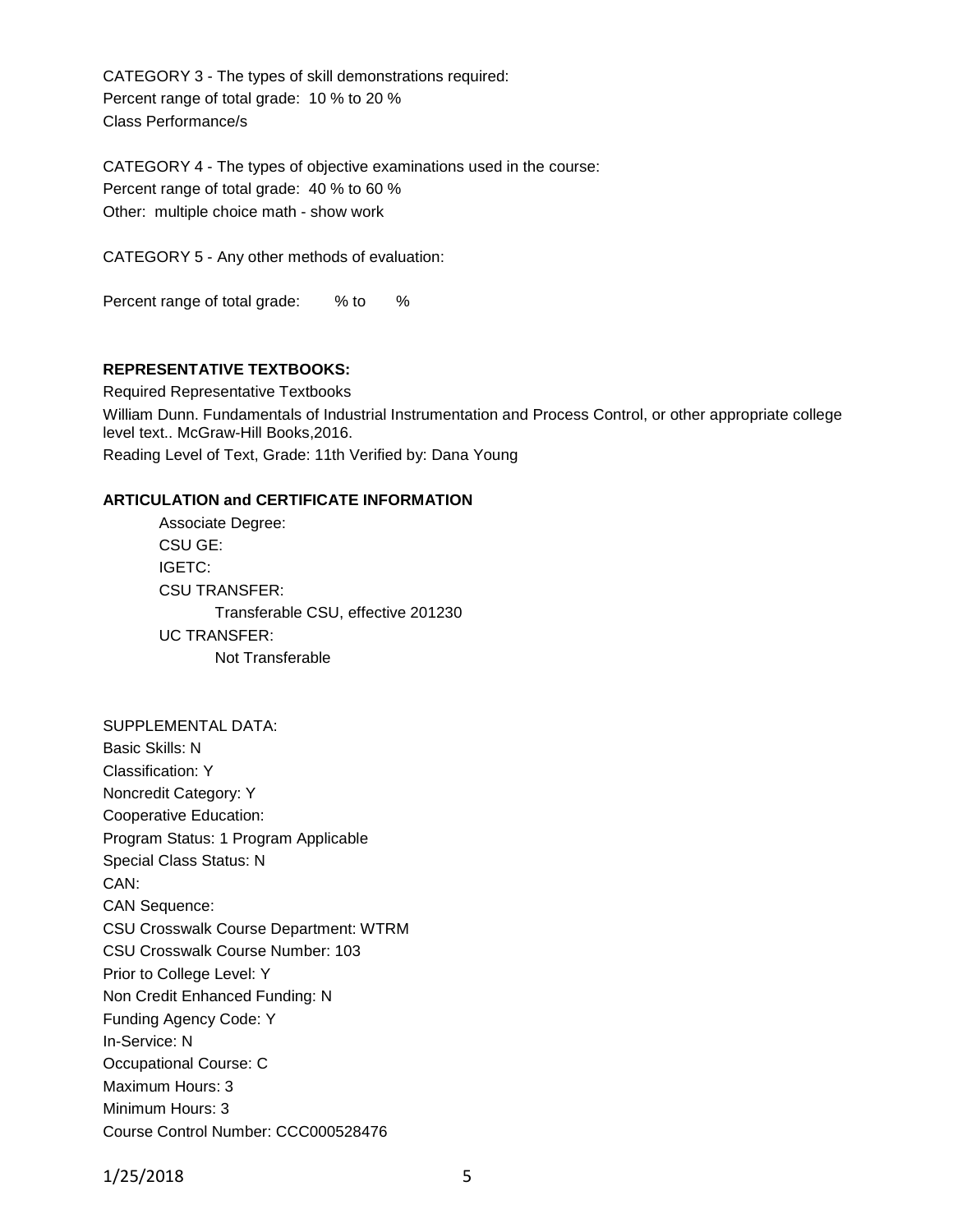CATEGORY 3 - The types of skill demonstrations required: Percent range of total grade: 10 % to 20 % Class Performance/s

CATEGORY 4 - The types of objective examinations used in the course: Percent range of total grade: 40 % to 60 % Other: multiple choice math - show work

CATEGORY 5 - Any other methods of evaluation:

Percent range of total grade: % to %

#### **REPRESENTATIVE TEXTBOOKS:**

Required Representative Textbooks William Dunn. Fundamentals of Industrial Instrumentation and Process Control, or other appropriate college level text.. McGraw-Hill Books,2016.

Reading Level of Text, Grade: 11th Verified by: Dana Young

#### **ARTICULATION and CERTIFICATE INFORMATION**

Associate Degree: CSU GE: IGETC: CSU TRANSFER: Transferable CSU, effective 201230 UC TRANSFER: Not Transferable

SUPPLEMENTAL DATA: Basic Skills: N Classification: Y Noncredit Category: Y Cooperative Education: Program Status: 1 Program Applicable Special Class Status: N CAN: CAN Sequence: CSU Crosswalk Course Department: WTRM CSU Crosswalk Course Number: 103 Prior to College Level: Y Non Credit Enhanced Funding: N Funding Agency Code: Y In-Service: N Occupational Course: C Maximum Hours: 3 Minimum Hours: 3 Course Control Number: CCC000528476